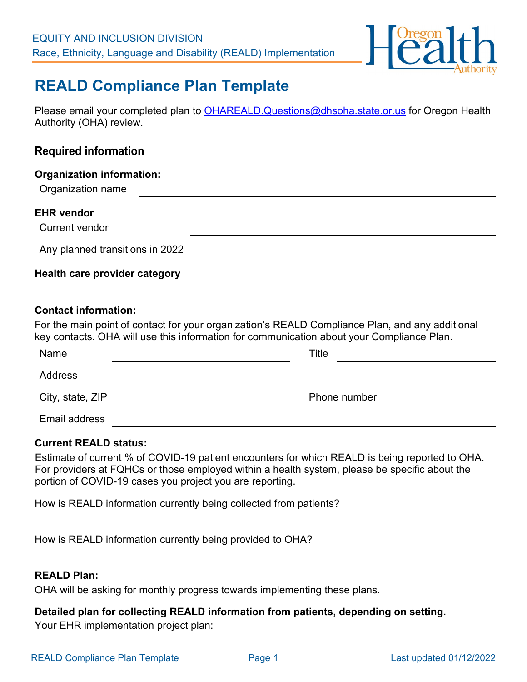

# **REALD Compliance Plan Template**

Please email your completed plan to [OHAREALD.Questions@dhsoha.state.or.us](mailto:OHAREALD.Questions@dhsoha.state.or.us) for Oregon Health Authority (OHA) review.

# **Required information**

Organization name

## **EHR vendor**

Current vendor

Any planned transitions in 2022

# **Health care provider category**

#### **Contact information:**

For the main point of contact for your organization's REALD Compliance Plan, and any additional key contacts. OHA will use this information for communication about your Compliance Plan.

| Name             | Title        |
|------------------|--------------|
| Address          |              |
| City, state, ZIP | Phone number |
| Email address    |              |

## **Current REALD status:**

Estimate of current % of COVID-19 patient encounters for which REALD is being reported to OHA. For providers at FQHCs or those employed within a health system, please be specific about the portion of COVID-19 cases you project you are reporting.

How is REALD information currently being collected from patients?

How is REALD information currently being provided to OHA?

## **REALD Plan:**

OHA will be asking for monthly progress towards implementing these plans.

# **Detailed plan for collecting REALD information from patients, depending on setting.**

Your EHR implementation project plan: